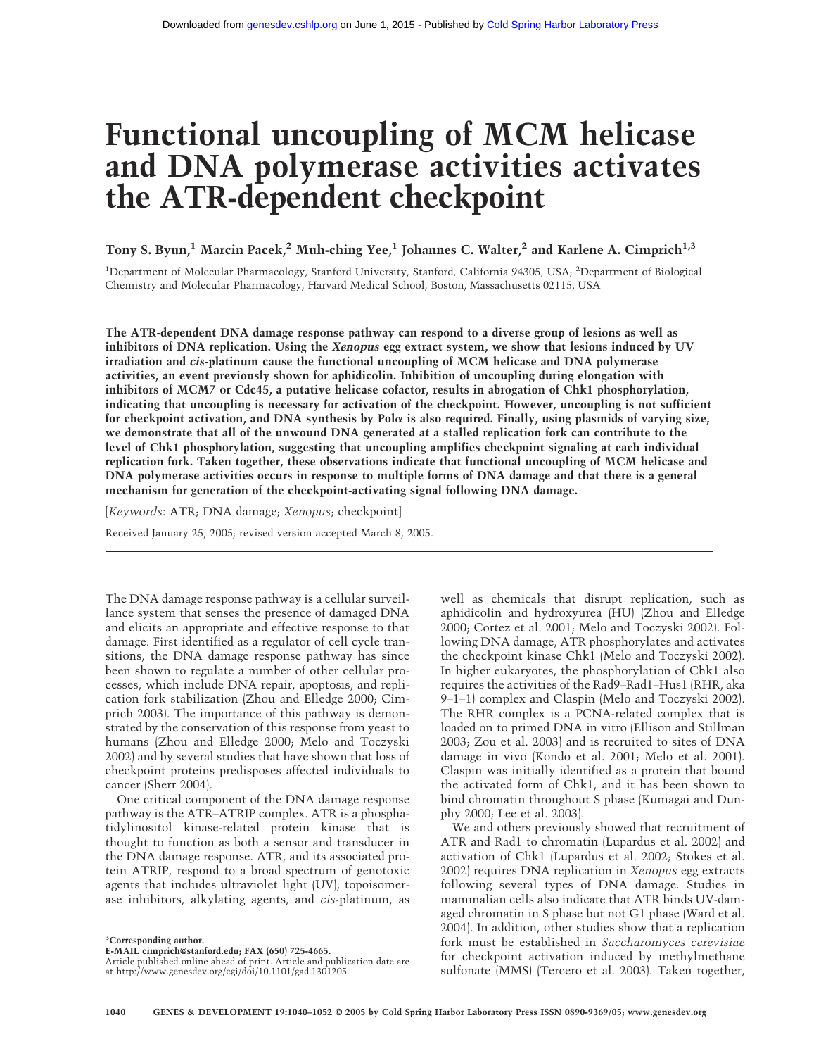# **Functional uncoupling of MCM helicase and DNA polymerase activities activates the ATR-dependent checkpoint**

Tony S. Byun,<sup>1</sup> Marcin Pacek,<sup>2</sup> Muh-ching Yee,<sup>1</sup> Johannes C. Walter,<sup>2</sup> and Karlene A. Cimprich<sup>1,3</sup>

<sup>1</sup>Department of Molecular Pharmacology, Stanford University, Stanford, California 94305, USA; <sup>2</sup>Department of Biological Chemistry and Molecular Pharmacology, Harvard Medical School, Boston, Massachusetts 02115, USA

**The ATR-dependent DNA damage response pathway can respond to a diverse group of lesions as well as inhibitors of DNA replication. Using the** *Xenopus* **egg extract system, we show that lesions induced by UV irradiation and** *cis***-platinum cause the functional uncoupling of MCM helicase and DNA polymerase activities, an event previously shown for aphidicolin. Inhibition of uncoupling during elongation with inhibitors of MCM7 or Cdc45, a putative helicase cofactor, results in abrogation of Chk1 phosphorylation, indicating that uncoupling is necessary for activation of the checkpoint. However, uncoupling is not sufficient for checkpoint activation, and DNA synthesis by Pol is also required. Finally, using plasmids of varying size, we demonstrate that all of the unwound DNA generated at a stalled replication fork can contribute to the level of Chk1 phosphorylation, suggesting that uncoupling amplifies checkpoint signaling at each individual replication fork. Taken together, these observations indicate that functional uncoupling of MCM helicase and DNA polymerase activities occurs in response to multiple forms of DNA damage and that there is a general mechanism for generation of the checkpoint-activating signal following DNA damage.**

[*Keywords*: ATR; DNA damage; *Xenopus*; checkpoint]

Received January 25, 2005; revised version accepted March 8, 2005.

The DNA damage response pathway is a cellular surveillance system that senses the presence of damaged DNA and elicits an appropriate and effective response to that damage. First identified as a regulator of cell cycle transitions, the DNA damage response pathway has since been shown to regulate a number of other cellular processes, which include DNA repair, apoptosis, and replication fork stabilization (Zhou and Elledge 2000; Cimprich 2003). The importance of this pathway is demonstrated by the conservation of this response from yeast to humans (Zhou and Elledge 2000; Melo and Toczyski 2002) and by several studies that have shown that loss of checkpoint proteins predisposes affected individuals to cancer (Sherr 2004).

One critical component of the DNA damage response pathway is the ATR–ATRIP complex. ATR is a phosphatidylinositol kinase-related protein kinase that is thought to function as both a sensor and transducer in the DNA damage response. ATR, and its associated protein ATRIP, respond to a broad spectrum of genotoxic agents that includes ultraviolet light (UV), topoisomerase inhibitors, alkylating agents, and *cis*-platinum, as

**3 Corresponding author.**

**E-MAIL cimprich@stanford.edu; FAX (650) 725-4665.**

Article published online ahead of print. Article and publication date are at http://www.genesdev.org/cgi/doi/10.1101/gad.1301205.

well as chemicals that disrupt replication, such as aphidicolin and hydroxyurea (HU) (Zhou and Elledge 2000; Cortez et al. 2001; Melo and Toczyski 2002). Following DNA damage, ATR phosphorylates and activates the checkpoint kinase Chk1 (Melo and Toczyski 2002). In higher eukaryotes, the phosphorylation of Chk1 also requires the activities of the Rad9–Rad1–Hus1 (RHR, aka 9–1–1) complex and Claspin (Melo and Toczyski 2002). The RHR complex is a PCNA-related complex that is loaded on to primed DNA in vitro (Ellison and Stillman 2003; Zou et al. 2003) and is recruited to sites of DNA damage in vivo (Kondo et al. 2001; Melo et al. 2001). Claspin was initially identified as a protein that bound the activated form of Chk1, and it has been shown to bind chromatin throughout S phase (Kumagai and Dunphy 2000; Lee et al. 2003).

We and others previously showed that recruitment of ATR and Rad1 to chromatin (Lupardus et al. 2002) and activation of Chk1 (Lupardus et al. 2002; Stokes et al. 2002) requires DNA replication in *Xenopus* egg extracts following several types of DNA damage. Studies in mammalian cells also indicate that ATR binds UV-damaged chromatin in S phase but not G1 phase (Ward et al. 2004). In addition, other studies show that a replication fork must be established in *Saccharomyces cerevisiae* for checkpoint activation induced by methylmethane sulfonate (MMS) (Tercero et al. 2003). Taken together,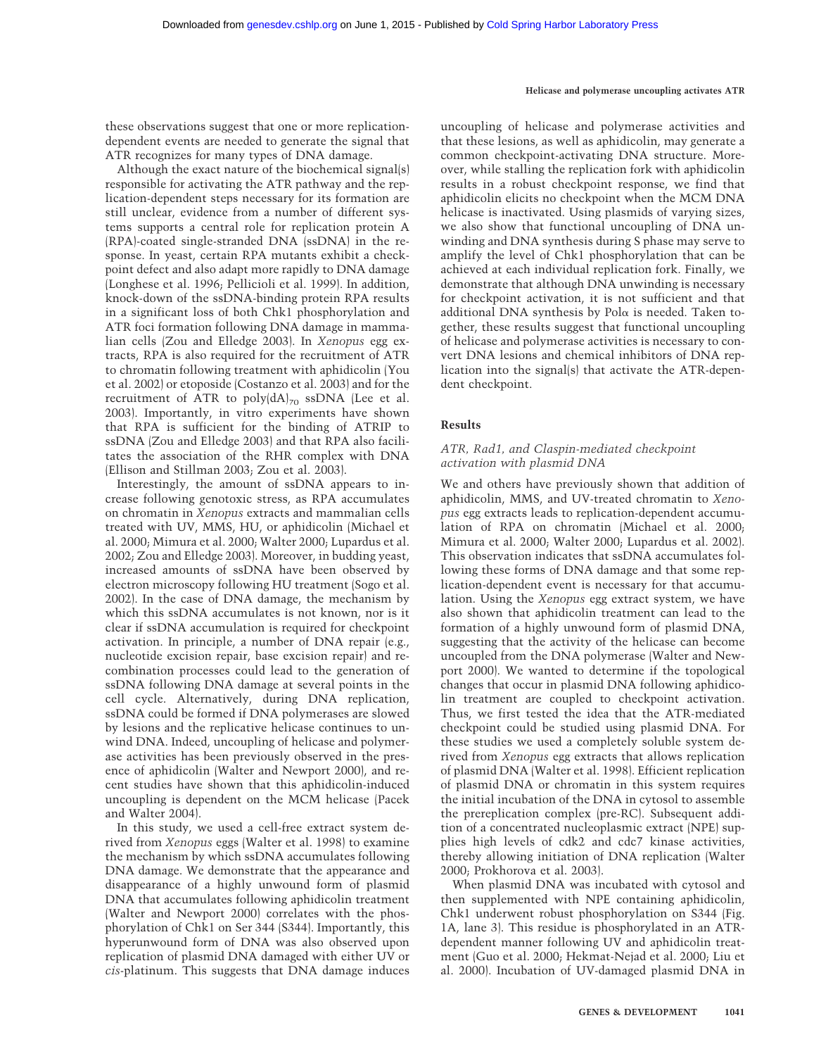these observations suggest that one or more replicationdependent events are needed to generate the signal that ATR recognizes for many types of DNA damage.

Although the exact nature of the biochemical signal(s) responsible for activating the ATR pathway and the replication-dependent steps necessary for its formation are still unclear, evidence from a number of different systems supports a central role for replication protein A (RPA)-coated single-stranded DNA (ssDNA) in the response. In yeast, certain RPA mutants exhibit a checkpoint defect and also adapt more rapidly to DNA damage (Longhese et al. 1996; Pellicioli et al. 1999). In addition, knock-down of the ssDNA-binding protein RPA results in a significant loss of both Chk1 phosphorylation and ATR foci formation following DNA damage in mammalian cells (Zou and Elledge 2003). In *Xenopus* egg extracts, RPA is also required for the recruitment of ATR to chromatin following treatment with aphidicolin (You et al. 2002) or etoposide (Costanzo et al. 2003) and for the recruitment of ATR to  $poly(dA)_{70}$  ssDNA (Lee et al. 2003). Importantly, in vitro experiments have shown that RPA is sufficient for the binding of ATRIP to ssDNA (Zou and Elledge 2003) and that RPA also facilitates the association of the RHR complex with DNA (Ellison and Stillman 2003; Zou et al. 2003).

Interestingly, the amount of ssDNA appears to increase following genotoxic stress, as RPA accumulates on chromatin in *Xenopus* extracts and mammalian cells treated with UV, MMS, HU, or aphidicolin (Michael et al. 2000; Mimura et al. 2000; Walter 2000; Lupardus et al. 2002; Zou and Elledge 2003). Moreover, in budding yeast, increased amounts of ssDNA have been observed by electron microscopy following HU treatment (Sogo et al. 2002). In the case of DNA damage, the mechanism by which this ssDNA accumulates is not known, nor is it clear if ssDNA accumulation is required for checkpoint activation. In principle, a number of DNA repair (e.g., nucleotide excision repair, base excision repair) and recombination processes could lead to the generation of ssDNA following DNA damage at several points in the cell cycle. Alternatively, during DNA replication, ssDNA could be formed if DNA polymerases are slowed by lesions and the replicative helicase continues to unwind DNA. Indeed, uncoupling of helicase and polymerase activities has been previously observed in the presence of aphidicolin (Walter and Newport 2000), and recent studies have shown that this aphidicolin-induced uncoupling is dependent on the MCM helicase (Pacek and Walter 2004).

In this study, we used a cell-free extract system derived from *Xenopus* eggs (Walter et al. 1998) to examine the mechanism by which ssDNA accumulates following DNA damage. We demonstrate that the appearance and disappearance of a highly unwound form of plasmid DNA that accumulates following aphidicolin treatment (Walter and Newport 2000) correlates with the phosphorylation of Chk1 on Ser 344 (S344). Importantly, this hyperunwound form of DNA was also observed upon replication of plasmid DNA damaged with either UV or *cis*-platinum. This suggests that DNA damage induces

uncoupling of helicase and polymerase activities and that these lesions, as well as aphidicolin, may generate a common checkpoint-activating DNA structure. Moreover, while stalling the replication fork with aphidicolin results in a robust checkpoint response, we find that aphidicolin elicits no checkpoint when the MCM DNA helicase is inactivated. Using plasmids of varying sizes, we also show that functional uncoupling of DNA unwinding and DNA synthesis during S phase may serve to amplify the level of Chk1 phosphorylation that can be achieved at each individual replication fork. Finally, we demonstrate that although DNA unwinding is necessary for checkpoint activation, it is not sufficient and that additional DNA synthesis by Pol $\alpha$  is needed. Taken together, these results suggest that functional uncoupling of helicase and polymerase activities is necessary to convert DNA lesions and chemical inhibitors of DNA replication into the signal(s) that activate the ATR-dependent checkpoint.

## **Results**

## *ATR, Rad1, and Claspin-mediated checkpoint activation with plasmid DNA*

We and others have previously shown that addition of aphidicolin, MMS, and UV-treated chromatin to *Xenopus* egg extracts leads to replication-dependent accumulation of RPA on chromatin (Michael et al. 2000; Mimura et al. 2000; Walter 2000; Lupardus et al. 2002). This observation indicates that ssDNA accumulates following these forms of DNA damage and that some replication-dependent event is necessary for that accumulation. Using the *Xenopus* egg extract system, we have also shown that aphidicolin treatment can lead to the formation of a highly unwound form of plasmid DNA, suggesting that the activity of the helicase can become uncoupled from the DNA polymerase (Walter and Newport 2000). We wanted to determine if the topological changes that occur in plasmid DNA following aphidicolin treatment are coupled to checkpoint activation. Thus, we first tested the idea that the ATR-mediated checkpoint could be studied using plasmid DNA. For these studies we used a completely soluble system derived from *Xenopus* egg extracts that allows replication of plasmid DNA (Walter et al. 1998). Efficient replication of plasmid DNA or chromatin in this system requires the initial incubation of the DNA in cytosol to assemble the prereplication complex (pre-RC). Subsequent addition of a concentrated nucleoplasmic extract (NPE) supplies high levels of cdk2 and cdc7 kinase activities, thereby allowing initiation of DNA replication (Walter 2000; Prokhorova et al. 2003).

When plasmid DNA was incubated with cytosol and then supplemented with NPE containing aphidicolin, Chk1 underwent robust phosphorylation on S344 (Fig. 1A, lane 3). This residue is phosphorylated in an ATRdependent manner following UV and aphidicolin treatment (Guo et al. 2000; Hekmat-Nejad et al. 2000; Liu et al. 2000). Incubation of UV-damaged plasmid DNA in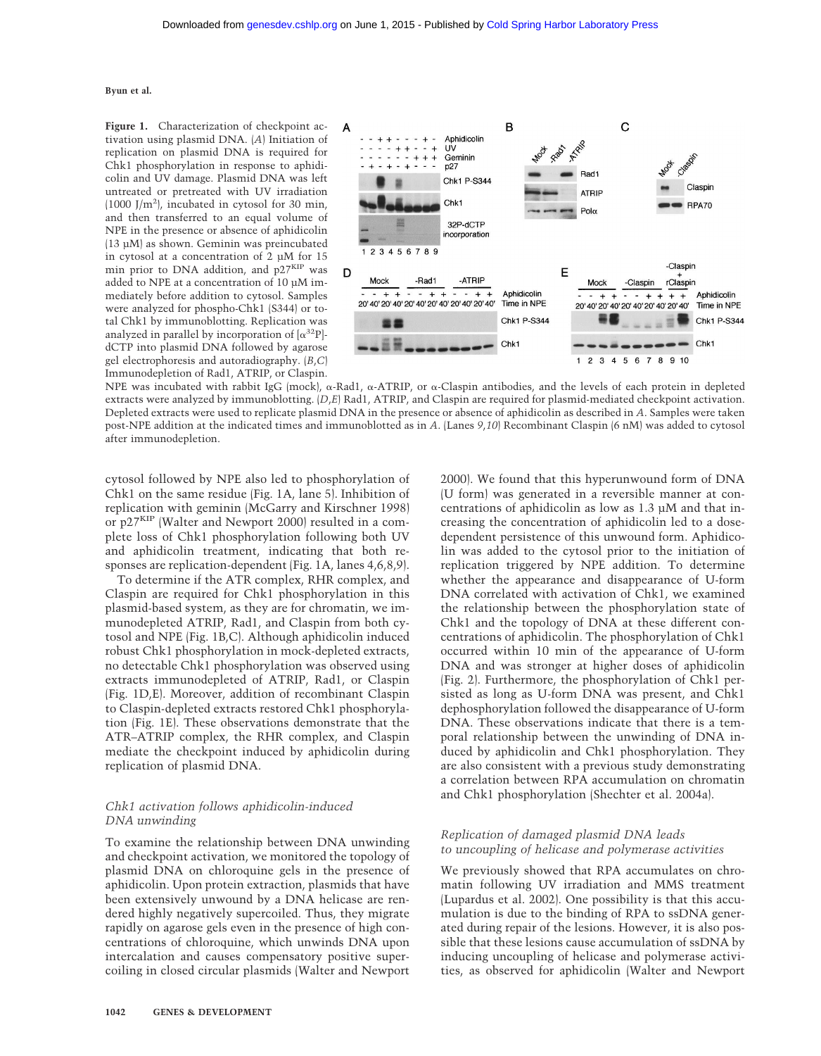Figure 1. Characterization of checkpoint activation using plasmid DNA. (*A*) Initiation of replication on plasmid DNA is required for Chk1 phosphorylation in response to aphidicolin and UV damage. Plasmid DNA was left untreated or pretreated with UV irradiation  $(1000 J/m<sup>2</sup>)$ , incubated in cytosol for 30 min, and then transferred to an equal volume of NPE in the presence or absence of aphidicolin (13 µM) as shown. Geminin was preincubated in cytosol at a concentration of 2 µM for 15 min prior to DNA addition, and p27KIP was added to NPE at a concentration of 10 µM immediately before addition to cytosol. Samples were analyzed for phospho-Chk1 (S344) or total Chk1 by immunoblotting. Replication was analyzed in parallel by incorporation of  $\alpha^{32}P$ ]dCTP into plasmid DNA followed by agarose gel electrophoresis and autoradiography. (*B*,*C*) Immunodepletion of Rad1, ATRIP, or Claspin.



NPE was incubated with rabbit IgG (mock),  $\alpha$ -Rad1,  $\alpha$ -ATRIP, or  $\alpha$ -Claspin antibodies, and the levels of each protein in depleted extracts were analyzed by immunoblotting. (*D*,*E*) Rad1, ATRIP, and Claspin are required for plasmid-mediated checkpoint activation. Depleted extracts were used to replicate plasmid DNA in the presence or absence of aphidicolin as described in *A*. Samples were taken post-NPE addition at the indicated times and immunoblotted as in *A*. (Lanes *9*,*10*) Recombinant Claspin (6 nM) was added to cytosol after immunodepletion.

cytosol followed by NPE also led to phosphorylation of Chk1 on the same residue (Fig. 1A, lane 5). Inhibition of replication with geminin (McGarry and Kirschner 1998) or p27KIP (Walter and Newport 2000) resulted in a complete loss of Chk1 phosphorylation following both UV and aphidicolin treatment, indicating that both responses are replication-dependent (Fig. 1A, lanes 4,6,8,9).

To determine if the ATR complex, RHR complex, and Claspin are required for Chk1 phosphorylation in this plasmid-based system, as they are for chromatin, we immunodepleted ATRIP, Rad1, and Claspin from both cytosol and NPE (Fig. 1B,C). Although aphidicolin induced robust Chk1 phosphorylation in mock-depleted extracts, no detectable Chk1 phosphorylation was observed using extracts immunodepleted of ATRIP, Rad1, or Claspin (Fig. 1D,E). Moreover, addition of recombinant Claspin to Claspin-depleted extracts restored Chk1 phosphorylation (Fig. 1E). These observations demonstrate that the ATR–ATRIP complex, the RHR complex, and Claspin mediate the checkpoint induced by aphidicolin during replication of plasmid DNA.

## *Chk1 activation follows aphidicolin-induced DNA unwinding*

To examine the relationship between DNA unwinding and checkpoint activation, we monitored the topology of plasmid DNA on chloroquine gels in the presence of aphidicolin. Upon protein extraction, plasmids that have been extensively unwound by a DNA helicase are rendered highly negatively supercoiled. Thus, they migrate rapidly on agarose gels even in the presence of high concentrations of chloroquine, which unwinds DNA upon intercalation and causes compensatory positive supercoiling in closed circular plasmids (Walter and Newport (U form) was generated in a reversible manner at concentrations of aphidicolin as low as 1.3 µM and that increasing the concentration of aphidicolin led to a dosedependent persistence of this unwound form. Aphidicolin was added to the cytosol prior to the initiation of replication triggered by NPE addition. To determine whether the appearance and disappearance of U-form DNA correlated with activation of Chk1, we examined the relationship between the phosphorylation state of Chk1 and the topology of DNA at these different concentrations of aphidicolin. The phosphorylation of Chk1 occurred within 10 min of the appearance of U-form DNA and was stronger at higher doses of aphidicolin (Fig. 2). Furthermore, the phosphorylation of Chk1 persisted as long as U-form DNA was present, and Chk1 dephosphorylation followed the disappearance of U-form DNA. These observations indicate that there is a temporal relationship between the unwinding of DNA induced by aphidicolin and Chk1 phosphorylation. They are also consistent with a previous study demonstrating a correlation between RPA accumulation on chromatin and Chk1 phosphorylation (Shechter et al. 2004a).

2000). We found that this hyperunwound form of DNA

## *Replication of damaged plasmid DNA leads to uncoupling of helicase and polymerase activities*

We previously showed that RPA accumulates on chromatin following UV irradiation and MMS treatment (Lupardus et al. 2002). One possibility is that this accumulation is due to the binding of RPA to ssDNA generated during repair of the lesions. However, it is also possible that these lesions cause accumulation of ssDNA by inducing uncoupling of helicase and polymerase activities, as observed for aphidicolin (Walter and Newport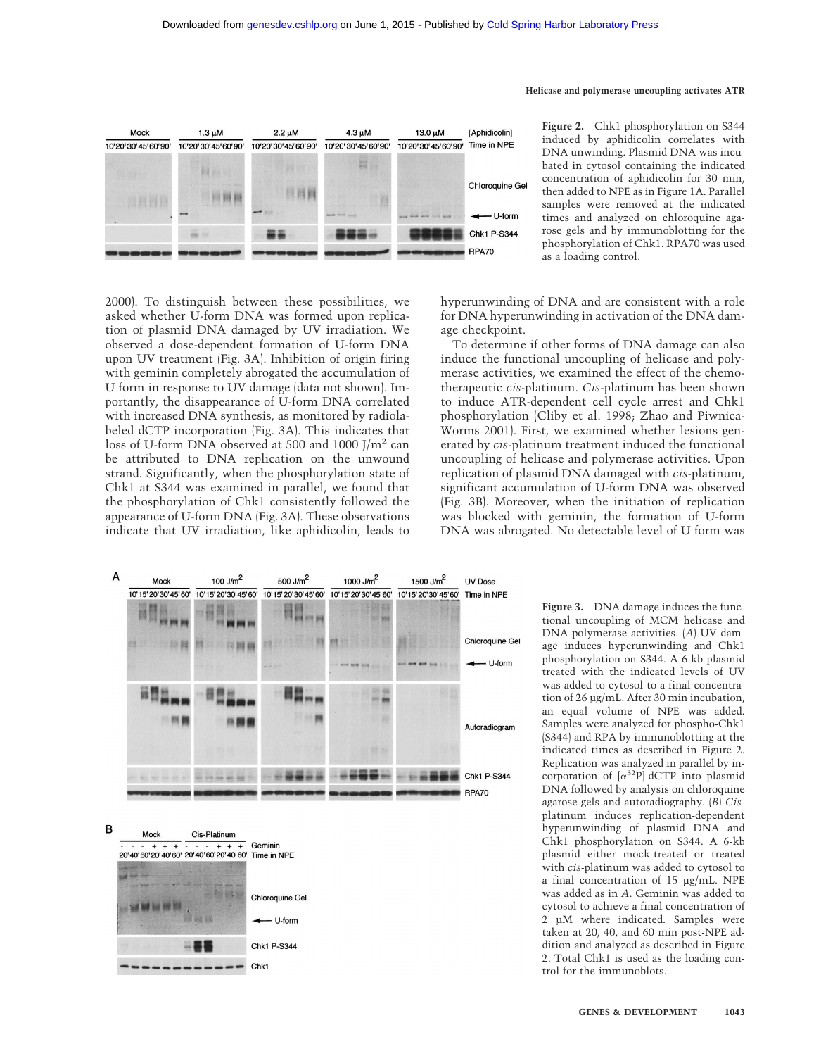

**Figure 2.** Chk1 phosphorylation on S344 induced by aphidicolin correlates with DNA unwinding. Plasmid DNA was incubated in cytosol containing the indicated concentration of aphidicolin for 30 min, then added to NPE as in Figure 1A. Parallel samples were removed at the indicated times and analyzed on chloroquine agarose gels and by immunoblotting for the phosphorylation of Chk1. RPA70 was used as a loading control.

2000). To distinguish between these possibilities, we asked whether U-form DNA was formed upon replication of plasmid DNA damaged by UV irradiation. We observed a dose-dependent formation of U-form DNA upon UV treatment (Fig. 3A). Inhibition of origin firing with geminin completely abrogated the accumulation of U form in response to UV damage (data not shown). Importantly, the disappearance of U-form DNA correlated with increased DNA synthesis, as monitored by radiolabeled dCTP incorporation (Fig. 3A). This indicates that loss of U-form DNA observed at 500 and 1000  $J/m^2$  can be attributed to DNA replication on the unwound strand. Significantly, when the phosphorylation state of Chk1 at S344 was examined in parallel, we found that the phosphorylation of Chk1 consistently followed the appearance of U-form DNA (Fig. 3A). These observations indicate that UV irradiation, like aphidicolin, leads to



hyperunwinding of DNA and are consistent with a role for DNA hyperunwinding in activation of the DNA damage checkpoint.

To determine if other forms of DNA damage can also induce the functional uncoupling of helicase and polymerase activities, we examined the effect of the chemotherapeutic *cis*-platinum. *Cis*-platinum has been shown to induce ATR-dependent cell cycle arrest and Chk1 phosphorylation (Cliby et al. 1998; Zhao and Piwnica-Worms 2001). First, we examined whether lesions generated by *cis*-platinum treatment induced the functional uncoupling of helicase and polymerase activities. Upon replication of plasmid DNA damaged with *cis*-platinum, significant accumulation of U-form DNA was observed (Fig. 3B). Moreover, when the initiation of replication was blocked with geminin, the formation of U-form DNA was abrogated. No detectable level of U form was

> **Figure 3.** DNA damage induces the functional uncoupling of MCM helicase and DNA polymerase activities. (*A*) UV damage induces hyperunwinding and Chk1 phosphorylation on S344. A 6-kb plasmid treated with the indicated levels of UV was added to cytosol to a final concentration of 26 µg/mL. After 30 min incubation, an equal volume of NPE was added. Samples were analyzed for phospho-Chk1 (S344) and RPA by immunoblotting at the indicated times as described in Figure 2. Replication was analyzed in parallel by incorporation of  $[\alpha^{32}P]$ -dCTP into plasmid DNA followed by analysis on chloroquine agarose gels and autoradiography. (*B*) *Cis*platinum induces replication-dependent hyperunwinding of plasmid DNA and Chk1 phosphorylation on S344. A 6-kb plasmid either mock-treated or treated with *cis*-platinum was added to cytosol to a final concentration of 15 µg/mL. NPE was added as in *A*. Geminin was added to cytosol to achieve a final concentration of 2 µM where indicated. Samples were taken at 20, 40, and 60 min post-NPE addition and analyzed as described in Figure 2. Total Chk1 is used as the loading control for the immunoblots.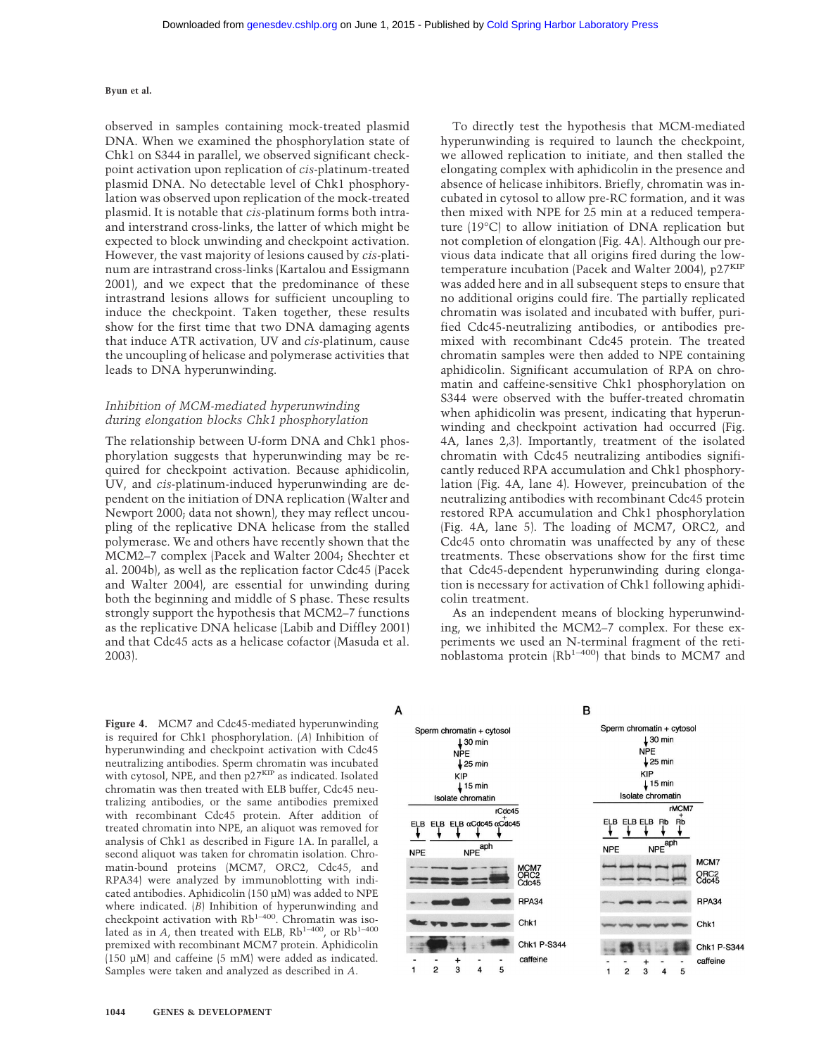A

#### **Byun et al.**

observed in samples containing mock-treated plasmid DNA. When we examined the phosphorylation state of Chk1 on S344 in parallel, we observed significant checkpoint activation upon replication of *cis*-platinum-treated plasmid DNA. No detectable level of Chk1 phosphorylation was observed upon replication of the mock-treated plasmid. It is notable that *cis*-platinum forms both intraand interstrand cross-links, the latter of which might be expected to block unwinding and checkpoint activation. However, the vast majority of lesions caused by *cis*-platinum are intrastrand cross-links (Kartalou and Essigmann 2001), and we expect that the predominance of these intrastrand lesions allows for sufficient uncoupling to induce the checkpoint. Taken together, these results show for the first time that two DNA damaging agents that induce ATR activation, UV and *cis*-platinum, cause the uncoupling of helicase and polymerase activities that leads to DNA hyperunwinding.

## *Inhibition of MCM-mediated hyperunwinding during elongation blocks Chk1 phosphorylation*

The relationship between U-form DNA and Chk1 phosphorylation suggests that hyperunwinding may be required for checkpoint activation. Because aphidicolin, UV, and *cis*-platinum-induced hyperunwinding are dependent on the initiation of DNA replication (Walter and Newport 2000; data not shown), they may reflect uncoupling of the replicative DNA helicase from the stalled polymerase. We and others have recently shown that the MCM2–7 complex (Pacek and Walter 2004; Shechter et al. 2004b), as well as the replication factor Cdc45 (Pacek and Walter 2004), are essential for unwinding during both the beginning and middle of S phase. These results strongly support the hypothesis that MCM2–7 functions as the replicative DNA helicase (Labib and Diffley 2001) and that Cdc45 acts as a helicase cofactor (Masuda et al. 2003).

**Figure 4.** MCM7 and Cdc45-mediated hyperunwinding is required for Chk1 phosphorylation. (*A*) Inhibition of hyperunwinding and checkpoint activation with Cdc45 neutralizing antibodies. Sperm chromatin was incubated with cytosol, NPE, and then p27KIP as indicated. Isolated chromatin was then treated with ELB buffer, Cdc45 neutralizing antibodies, or the same antibodies premixed with recombinant Cdc45 protein. After addition of treated chromatin into NPE, an aliquot was removed for analysis of Chk1 as described in Figure 1A. In parallel, a second aliquot was taken for chromatin isolation. Chromatin-bound proteins (MCM7, ORC2, Cdc45, and RPA34) were analyzed by immunoblotting with indicated antibodies. Aphidicolin (150 µM) was added to NPE where indicated. (*B*) Inhibition of hyperunwinding and checkpoint activation with  $Rb^{1-400}$ . Chromatin was isolated as in  $A$ , then treated with ELB,  $\rm Rb^{1-400}$ , or  $\rm Rb^{1-400}$ premixed with recombinant MCM7 protein. Aphidicolin (150 µM) and caffeine (5 mM) were added as indicated. Samples were taken and analyzed as described in *A*.

To directly test the hypothesis that MCM-mediated hyperunwinding is required to launch the checkpoint, we allowed replication to initiate, and then stalled the elongating complex with aphidicolin in the presence and absence of helicase inhibitors. Briefly, chromatin was incubated in cytosol to allow pre-RC formation, and it was then mixed with NPE for 25 min at a reduced temperature (19°C) to allow initiation of DNA replication but not completion of elongation (Fig. 4A). Although our previous data indicate that all origins fired during the lowtemperature incubation (Pacek and Walter 2004), p27<sup>KIP</sup> was added here and in all subsequent steps to ensure that no additional origins could fire. The partially replicated chromatin was isolated and incubated with buffer, purified Cdc45-neutralizing antibodies, or antibodies premixed with recombinant Cdc45 protein. The treated chromatin samples were then added to NPE containing aphidicolin. Significant accumulation of RPA on chromatin and caffeine-sensitive Chk1 phosphorylation on S344 were observed with the buffer-treated chromatin when aphidicolin was present, indicating that hyperunwinding and checkpoint activation had occurred (Fig. 4A, lanes 2,3). Importantly, treatment of the isolated chromatin with Cdc45 neutralizing antibodies significantly reduced RPA accumulation and Chk1 phosphorylation (Fig. 4A, lane 4). However, preincubation of the neutralizing antibodies with recombinant Cdc45 protein restored RPA accumulation and Chk1 phosphorylation (Fig. 4A, lane 5). The loading of MCM7, ORC2, and Cdc45 onto chromatin was unaffected by any of these treatments. These observations show for the first time that Cdc45-dependent hyperunwinding during elongation is necessary for activation of Chk1 following aphidicolin treatment.

As an independent means of blocking hyperunwinding, we inhibited the MCM2–7 complex. For these experiments we used an N-terminal fragment of the retinoblastoma protein  $(Rb^{1-400})$  that binds to MCM7 and

B

Sperm chromatin + cytosol Sperm chromatin + cytosol  $\downarrow$  30 min  $\sqrt{30}$  min **NPE NPF**  $\downarrow$  25 min  $\frac{1}{25}$  min **KIP** KIP  $\sqrt{15}$  min  $\frac{1}{2}$  15 min Isolate chromatin Isolate chromatin  $r$ MCM7  $rCdc45$ ELB ELB  $\alpha$ Cdc45 $\alpha$ Cdc45 ELB ELB ELB Rb Rb EĻB t  $\ddotmark$  $NPE$ <sup>aph</sup>  $NPE^{aph}$ **NPF NPE** MCM7 MCM7<br>ORC2<br>Cdc45 ORC2<br>Cdc45 **RPA34 RPA34** Chk1 Chk1 **Chk1 P-S344** Chk1 P-S344 caffeine caffeine  $\frac{+}{3}$  $\frac{+}{3}$  $\overline{2}$  $\overline{4}$ 5  $\overline{a}$ 5  $\overline{4}$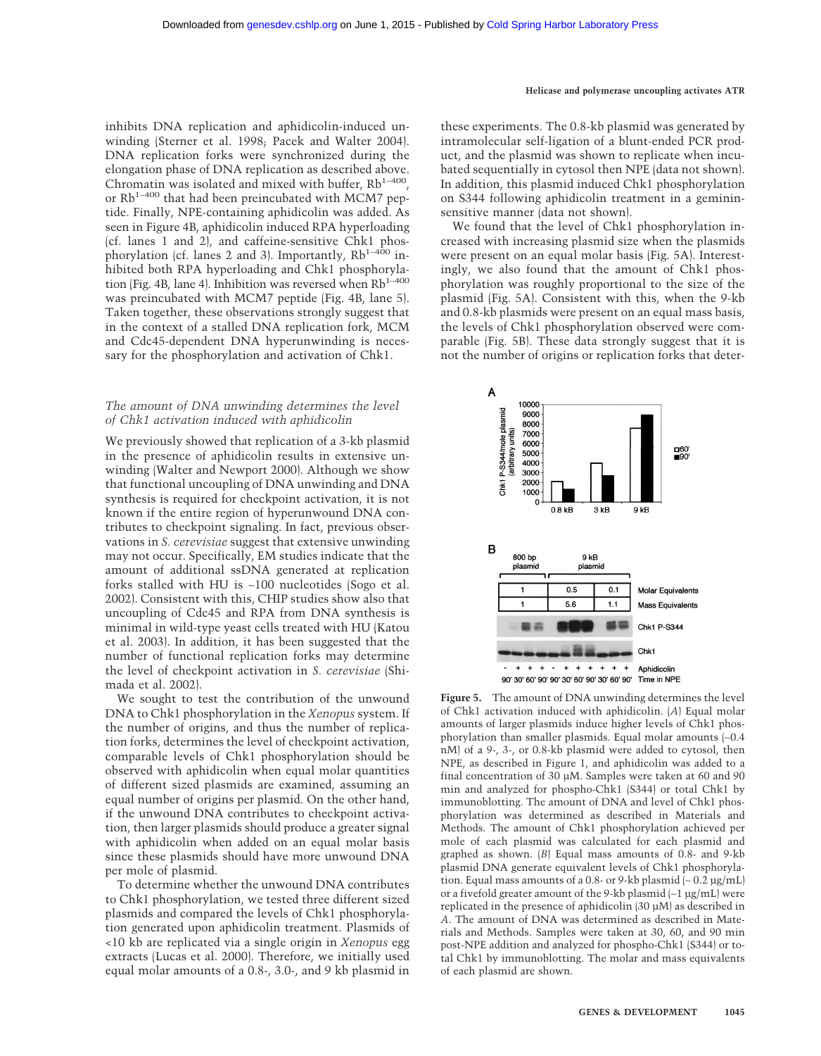## inhibits DNA replication and aphidicolin-induced unwinding (Sterner et al. 1998; Pacek and Walter 2004). DNA replication forks were synchronized during the elongation phase of DNA replication as described above. Chromatin was isolated and mixed with buffer,  $Rb^{1-400}$ or Rb<sup>1-400</sup> that had been preincubated with MCM7 peptide. Finally, NPE-containing aphidicolin was added. As seen in Figure 4B, aphidicolin induced RPA hyperloading (cf. lanes 1 and 2), and caffeine-sensitive Chk1 phosphorylation (cf. lanes 2 and 3). Importantly,  $Rb^{1-400}$  inhibited both RPA hyperloading and Chk1 phosphorylation (Fig. 4B, lane 4). Inhibition was reversed when  $Rb^{1-400}$ was preincubated with MCM7 peptide (Fig. 4B, lane 5). Taken together, these observations strongly suggest that in the context of a stalled DNA replication fork, MCM and Cdc45-dependent DNA hyperunwinding is necessary for the phosphorylation and activation of Chk1.

## *The amount of DNA unwinding determines the level of Chk1 activation induced with aphidicolin*

We previously showed that replication of a 3-kb plasmid in the presence of aphidicolin results in extensive unwinding (Walter and Newport 2000). Although we show that functional uncoupling of DNA unwinding and DNA synthesis is required for checkpoint activation, it is not known if the entire region of hyperunwound DNA contributes to checkpoint signaling. In fact, previous observations in *S. cerevisiae* suggest that extensive unwinding may not occur. Specifically, EM studies indicate that the amount of additional ssDNA generated at replication forks stalled with HU is ∼100 nucleotides (Sogo et al. 2002). Consistent with this, CHIP studies show also that uncoupling of Cdc45 and RPA from DNA synthesis is minimal in wild-type yeast cells treated with HU (Katou et al. 2003). In addition, it has been suggested that the number of functional replication forks may determine the level of checkpoint activation in *S. cerevisiae* (Shimada et al. 2002).

We sought to test the contribution of the unwound DNA to Chk1 phosphorylation in the *Xenopus* system. If the number of origins, and thus the number of replication forks, determines the level of checkpoint activation, comparable levels of Chk1 phosphorylation should be observed with aphidicolin when equal molar quantities of different sized plasmids are examined, assuming an equal number of origins per plasmid. On the other hand, if the unwound DNA contributes to checkpoint activation, then larger plasmids should produce a greater signal with aphidicolin when added on an equal molar basis since these plasmids should have more unwound DNA per mole of plasmid.

To determine whether the unwound DNA contributes to Chk1 phosphorylation, we tested three different sized plasmids and compared the levels of Chk1 phosphorylation generated upon aphidicolin treatment. Plasmids of <10 kb are replicated via a single origin in *Xenopus* egg extracts (Lucas et al. 2000). Therefore, we initially used equal molar amounts of a 0.8-, 3.0-, and 9 kb plasmid in these experiments. The 0.8-kb plasmid was generated by intramolecular self-ligation of a blunt-ended PCR product, and the plasmid was shown to replicate when incubated sequentially in cytosol then NPE (data not shown). In addition, this plasmid induced Chk1 phosphorylation on S344 following aphidicolin treatment in a gemininsensitive manner (data not shown).

We found that the level of Chk1 phosphorylation increased with increasing plasmid size when the plasmids were present on an equal molar basis (Fig. 5A). Interestingly, we also found that the amount of Chk1 phosphorylation was roughly proportional to the size of the plasmid (Fig. 5A). Consistent with this, when the 9-kb and 0.8-kb plasmids were present on an equal mass basis, the levels of Chk1 phosphorylation observed were comparable (Fig. 5B). These data strongly suggest that it is not the number of origins or replication forks that deter-



**Figure 5.** The amount of DNA unwinding determines the level of Chk1 activation induced with aphidicolin. (*A*) Equal molar amounts of larger plasmids induce higher levels of Chk1 phosphorylation than smaller plasmids. Equal molar amounts (∼0.4 nM) of a 9-, 3-, or 0.8-kb plasmid were added to cytosol, then NPE, as described in Figure 1, and aphidicolin was added to a final concentration of 30 µM. Samples were taken at 60 and 90 min and analyzed for phospho-Chk1 (S344) or total Chk1 by immunoblotting. The amount of DNA and level of Chk1 phosphorylation was determined as described in Materials and Methods. The amount of Chk1 phosphorylation achieved per mole of each plasmid was calculated for each plasmid and graphed as shown. (*B*) Equal mass amounts of 0.8- and 9-kb plasmid DNA generate equivalent levels of Chk1 phosphorylation. Equal mass amounts of a 0.8- or 9-kb plasmid (∼ 0.2 µg/mL) or a fivefold greater amount of the 9-kb plasmid (∼1 µg/mL) were replicated in the presence of aphidicolin (30 µM) as described in *A*. The amount of DNA was determined as described in Materials and Methods. Samples were taken at 30, 60, and 90 min post-NPE addition and analyzed for phospho-Chk1 (S344) or total Chk1 by immunoblotting. The molar and mass equivalents of each plasmid are shown.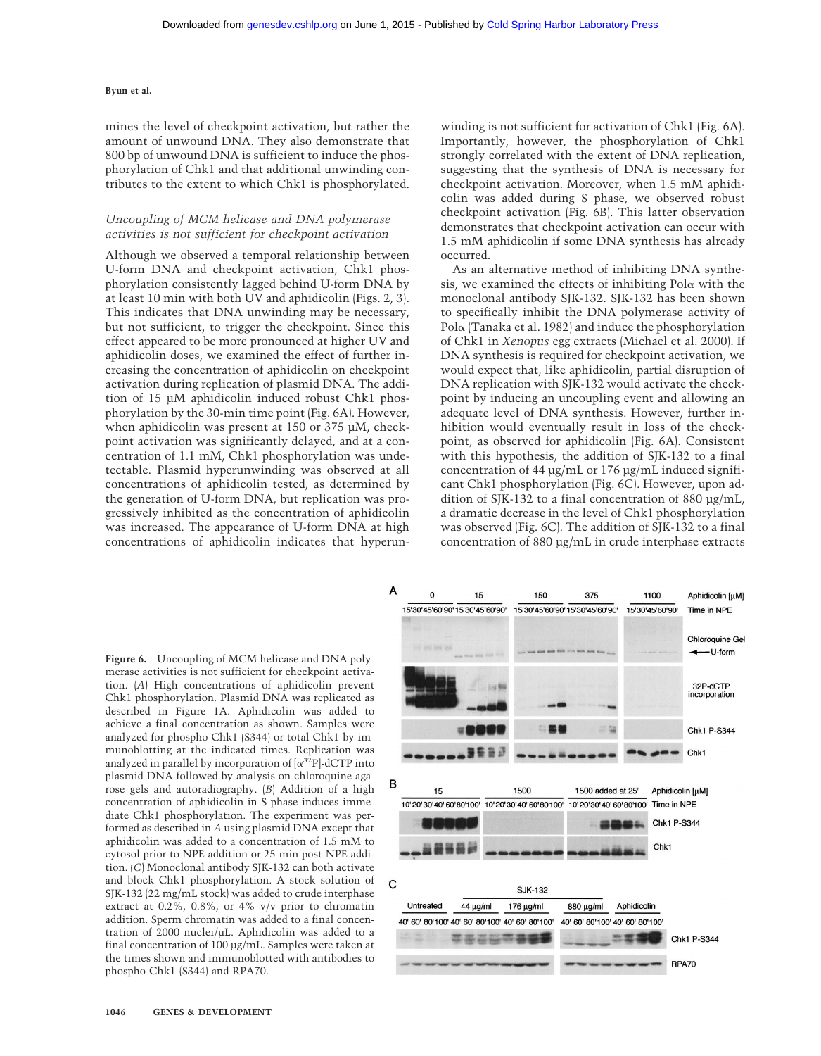mines the level of checkpoint activation, but rather the amount of unwound DNA. They also demonstrate that 800 bp of unwound DNA is sufficient to induce the phosphorylation of Chk1 and that additional unwinding contributes to the extent to which Chk1 is phosphorylated.

## *Uncoupling of MCM helicase and DNA polymerase activities is not sufficient for checkpoint activation*

Although we observed a temporal relationship between U-form DNA and checkpoint activation, Chk1 phosphorylation consistently lagged behind U-form DNA by at least 10 min with both UV and aphidicolin (Figs. 2, 3). This indicates that DNA unwinding may be necessary, but not sufficient, to trigger the checkpoint. Since this effect appeared to be more pronounced at higher UV and aphidicolin doses, we examined the effect of further increasing the concentration of aphidicolin on checkpoint activation during replication of plasmid DNA. The addition of 15 µM aphidicolin induced robust Chk1 phosphorylation by the 30-min time point (Fig. 6A). However, when aphidicolin was present at 150 or 375 µM, checkpoint activation was significantly delayed, and at a concentration of 1.1 mM, Chk1 phosphorylation was undetectable. Plasmid hyperunwinding was observed at all concentrations of aphidicolin tested, as determined by the generation of U-form DNA, but replication was progressively inhibited as the concentration of aphidicolin was increased. The appearance of U-form DNA at high concentrations of aphidicolin indicates that hyperunwinding is not sufficient for activation of Chk1 (Fig. 6A). Importantly, however, the phosphorylation of Chk1 strongly correlated with the extent of DNA replication, suggesting that the synthesis of DNA is necessary for checkpoint activation. Moreover, when 1.5 mM aphidicolin was added during S phase, we observed robust checkpoint activation (Fig. 6B). This latter observation demonstrates that checkpoint activation can occur with 1.5 mM aphidicolin if some DNA synthesis has already occurred.

As an alternative method of inhibiting DNA synthesis, we examined the effects of inhibiting  $P$ ol $\alpha$  with the monoclonal antibody SJK-132. SJK-132 has been shown to specifically inhibit the DNA polymerase activity of Pol $\alpha$  (Tanaka et al. 1982) and induce the phosphorylation of Chk1 in *Xenopus* egg extracts (Michael et al. 2000). If DNA synthesis is required for checkpoint activation, we would expect that, like aphidicolin, partial disruption of DNA replication with SJK-132 would activate the checkpoint by inducing an uncoupling event and allowing an adequate level of DNA synthesis. However, further inhibition would eventually result in loss of the checkpoint, as observed for aphidicolin (Fig. 6A). Consistent with this hypothesis, the addition of SJK-132 to a final concentration of 44 µg/mL or 176 µg/mL induced significant Chk1 phosphorylation (Fig. 6C). However, upon addition of SJK-132 to a final concentration of 880 µg/mL, a dramatic decrease in the level of Chk1 phosphorylation was observed (Fig. 6C). The addition of SJK-132 to a final concentration of 880 µg/mL in crude interphase extracts

**Figure 6.** Uncoupling of MCM helicase and DNA polymerase activities is not sufficient for checkpoint activation. (*A*) High concentrations of aphidicolin prevent Chk1 phosphorylation. Plasmid DNA was replicated as described in Figure 1A. Aphidicolin was added to achieve a final concentration as shown. Samples were analyzed for phospho-Chk1 (S344) or total Chk1 by immunoblotting at the indicated times. Replication was analyzed in parallel by incorporation of  $\alpha^{32}P$ -dCTP into plasmid DNA followed by analysis on chloroquine agarose gels and autoradiography. (*B*) Addition of a high concentration of aphidicolin in S phase induces immediate Chk1 phosphorylation. The experiment was performed as described in *A* using plasmid DNA except that aphidicolin was added to a concentration of 1.5 mM to cytosol prior to NPE addition or 25 min post-NPE addition. (*C*) Monoclonal antibody SJK-132 can both activate and block Chk1 phosphorylation. A stock solution of SJK-132 (22 mg/mL stock) was added to crude interphase extract at 0.2%, 0.8%, or 4% v/v prior to chromatin addition. Sperm chromatin was added to a final concentration of  $2000$  nuclei/ $\mu$ L. Aphidicolin was added to a final concentration of 100 µg/mL. Samples were taken at the times shown and immunoblotted with antibodies to phospho-Chk1 (S344) and RPA70.

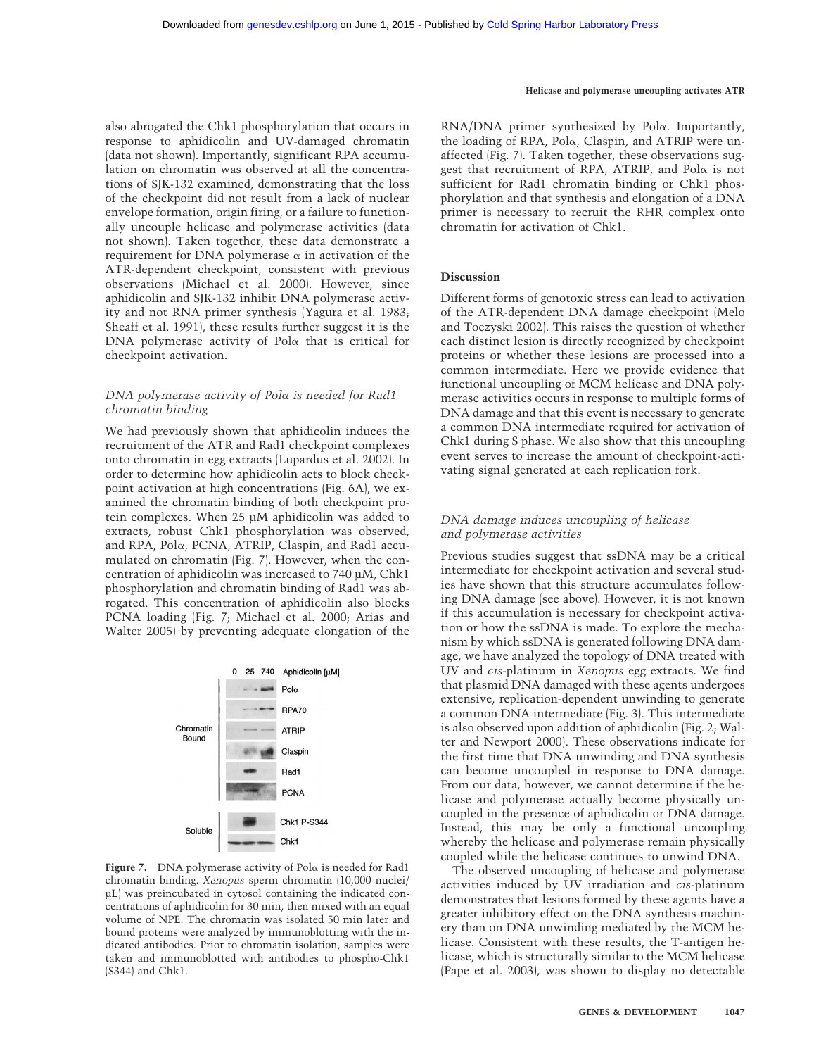also abrogated the Chk1 phosphorylation that occurs in response to aphidicolin and UV-damaged chromatin (data not shown). Importantly, significant RPA accumulation on chromatin was observed at all the concentrations of SJK-132 examined, demonstrating that the loss of the checkpoint did not result from a lack of nuclear envelope formation, origin firing, or a failure to functionally uncouple helicase and polymerase activities (data not shown). Taken together, these data demonstrate a requirement for DNA polymerase  $\alpha$  in activation of the ATR-dependent checkpoint, consistent with previous observations (Michael et al. 2000). However, since aphidicolin and SJK-132 inhibit DNA polymerase activity and not RNA primer synthesis (Yagura et al. 1983; Sheaff et al. 1991), these results further suggest it is the DNA polymerase activity of Pol $\alpha$  that is critical for checkpoint activation.

## *DNA polymerase activity of Pol*α *is needed for Rad1 chromatin binding*

We had previously shown that aphidicolin induces the recruitment of the ATR and Rad1 checkpoint complexes onto chromatin in egg extracts (Lupardus et al. 2002). In order to determine how aphidicolin acts to block checkpoint activation at high concentrations (Fig. 6A), we examined the chromatin binding of both checkpoint protein complexes. When 25 µM aphidicolin was added to extracts, robust Chk1 phosphorylation was observed, and RPA,  $Pola$ ,  $PCNA$ ,  $ATRIP$ ,  $Claspin$ , and Rad1 accumulated on chromatin (Fig. 7). However, when the concentration of aphidicolin was increased to 740 µM, Chk1 phosphorylation and chromatin binding of Rad1 was abrogated. This concentration of aphidicolin also blocks PCNA loading (Fig. 7; Michael et al. 2000; Arias and Walter 2005) by preventing adequate elongation of the



**Figure 7.** DNA polymerase activity of Pol $\alpha$  is needed for Rad1 chromatin binding. *Xenopus* sperm chromatin (10,000 nuclei/ µL) was preincubated in cytosol containing the indicated concentrations of aphidicolin for 30 min, then mixed with an equal volume of NPE. The chromatin was isolated 50 min later and bound proteins were analyzed by immunoblotting with the indicated antibodies. Prior to chromatin isolation, samples were taken and immunoblotted with antibodies to phospho-Chk1 (S344) and Chk1.

 $RNA/DNA$  primer synthesized by Pol $\alpha$ . Importantly, the loading of RPA, Pol $\alpha$ , Claspin, and ATRIP were unaffected (Fig. 7). Taken together, these observations suggest that recruitment of RPA, ATRIP, and Pol $\alpha$  is not sufficient for Rad1 chromatin binding or Chk1 phosphorylation and that synthesis and elongation of a DNA primer is necessary to recruit the RHR complex onto chromatin for activation of Chk1.

## **Discussion**

Different forms of genotoxic stress can lead to activation of the ATR-dependent DNA damage checkpoint (Melo and Toczyski 2002). This raises the question of whether each distinct lesion is directly recognized by checkpoint proteins or whether these lesions are processed into a common intermediate. Here we provide evidence that functional uncoupling of MCM helicase and DNA polymerase activities occurs in response to multiple forms of DNA damage and that this event is necessary to generate a common DNA intermediate required for activation of Chk1 during S phase. We also show that this uncoupling event serves to increase the amount of checkpoint-activating signal generated at each replication fork.

## *DNA damage induces uncoupling of helicase and polymerase activities*

Previous studies suggest that ssDNA may be a critical intermediate for checkpoint activation and several studies have shown that this structure accumulates following DNA damage (see above). However, it is not known if this accumulation is necessary for checkpoint activation or how the ssDNA is made. To explore the mechanism by which ssDNA is generated following DNA damage, we have analyzed the topology of DNA treated with UV and *cis*-platinum in *Xenopus* egg extracts. We find that plasmid DNA damaged with these agents undergoes extensive, replication-dependent unwinding to generate a common DNA intermediate (Fig. 3). This intermediate is also observed upon addition of aphidicolin (Fig. 2; Walter and Newport 2000). These observations indicate for the first time that DNA unwinding and DNA synthesis can become uncoupled in response to DNA damage. From our data, however, we cannot determine if the helicase and polymerase actually become physically uncoupled in the presence of aphidicolin or DNA damage. Instead, this may be only a functional uncoupling whereby the helicase and polymerase remain physically coupled while the helicase continues to unwind DNA.

The observed uncoupling of helicase and polymerase activities induced by UV irradiation and *cis*-platinum demonstrates that lesions formed by these agents have a greater inhibitory effect on the DNA synthesis machinery than on DNA unwinding mediated by the MCM helicase. Consistent with these results, the T-antigen helicase, which is structurally similar to the MCM helicase (Pape et al. 2003), was shown to display no detectable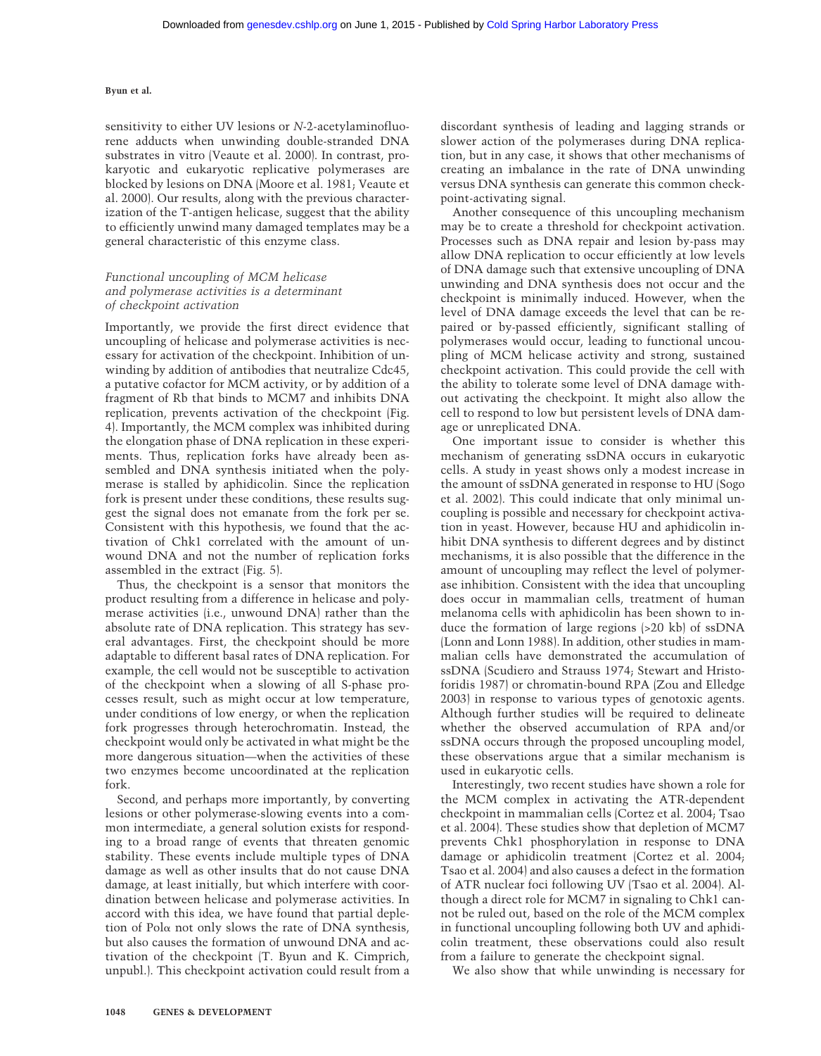sensitivity to either UV lesions or *N*-2-acetylaminofluorene adducts when unwinding double-stranded DNA substrates in vitro (Veaute et al. 2000). In contrast, prokaryotic and eukaryotic replicative polymerases are blocked by lesions on DNA (Moore et al. 1981; Veaute et al. 2000). Our results, along with the previous characterization of the T-antigen helicase, suggest that the ability to efficiently unwind many damaged templates may be a general characteristic of this enzyme class.

## *Functional uncoupling of MCM helicase and polymerase activities is a determinant of checkpoint activation*

Importantly, we provide the first direct evidence that uncoupling of helicase and polymerase activities is necessary for activation of the checkpoint. Inhibition of unwinding by addition of antibodies that neutralize Cdc45, a putative cofactor for MCM activity, or by addition of a fragment of Rb that binds to MCM7 and inhibits DNA replication, prevents activation of the checkpoint (Fig. 4). Importantly, the MCM complex was inhibited during the elongation phase of DNA replication in these experiments. Thus, replication forks have already been assembled and DNA synthesis initiated when the polymerase is stalled by aphidicolin. Since the replication fork is present under these conditions, these results suggest the signal does not emanate from the fork per se. Consistent with this hypothesis, we found that the activation of Chk1 correlated with the amount of unwound DNA and not the number of replication forks assembled in the extract (Fig. 5).

Thus, the checkpoint is a sensor that monitors the product resulting from a difference in helicase and polymerase activities (i.e., unwound DNA) rather than the absolute rate of DNA replication. This strategy has several advantages. First, the checkpoint should be more adaptable to different basal rates of DNA replication. For example, the cell would not be susceptible to activation of the checkpoint when a slowing of all S-phase processes result, such as might occur at low temperature, under conditions of low energy, or when the replication fork progresses through heterochromatin. Instead, the checkpoint would only be activated in what might be the more dangerous situation—when the activities of these two enzymes become uncoordinated at the replication fork.

Second, and perhaps more importantly, by converting lesions or other polymerase-slowing events into a common intermediate, a general solution exists for responding to a broad range of events that threaten genomic stability. These events include multiple types of DNA damage as well as other insults that do not cause DNA damage, at least initially, but which interfere with coordination between helicase and polymerase activities. In accord with this idea, we have found that partial depletion of Pol $\alpha$  not only slows the rate of DNA synthesis, but also causes the formation of unwound DNA and activation of the checkpoint (T. Byun and K. Cimprich, unpubl.). This checkpoint activation could result from a discordant synthesis of leading and lagging strands or slower action of the polymerases during DNA replication, but in any case, it shows that other mechanisms of creating an imbalance in the rate of DNA unwinding versus DNA synthesis can generate this common checkpoint-activating signal.

Another consequence of this uncoupling mechanism may be to create a threshold for checkpoint activation. Processes such as DNA repair and lesion by-pass may allow DNA replication to occur efficiently at low levels of DNA damage such that extensive uncoupling of DNA unwinding and DNA synthesis does not occur and the checkpoint is minimally induced. However, when the level of DNA damage exceeds the level that can be repaired or by-passed efficiently, significant stalling of polymerases would occur, leading to functional uncoupling of MCM helicase activity and strong, sustained checkpoint activation. This could provide the cell with the ability to tolerate some level of DNA damage without activating the checkpoint. It might also allow the cell to respond to low but persistent levels of DNA damage or unreplicated DNA.

One important issue to consider is whether this mechanism of generating ssDNA occurs in eukaryotic cells. A study in yeast shows only a modest increase in the amount of ssDNA generated in response to HU (Sogo et al. 2002). This could indicate that only minimal uncoupling is possible and necessary for checkpoint activation in yeast. However, because HU and aphidicolin inhibit DNA synthesis to different degrees and by distinct mechanisms, it is also possible that the difference in the amount of uncoupling may reflect the level of polymerase inhibition. Consistent with the idea that uncoupling does occur in mammalian cells, treatment of human melanoma cells with aphidicolin has been shown to induce the formation of large regions (>20 kb) of ssDNA (Lonn and Lonn 1988). In addition, other studies in mammalian cells have demonstrated the accumulation of ssDNA (Scudiero and Strauss 1974; Stewart and Hristoforidis 1987) or chromatin-bound RPA (Zou and Elledge 2003) in response to various types of genotoxic agents. Although further studies will be required to delineate whether the observed accumulation of RPA and/or ssDNA occurs through the proposed uncoupling model, these observations argue that a similar mechanism is used in eukaryotic cells.

Interestingly, two recent studies have shown a role for the MCM complex in activating the ATR-dependent checkpoint in mammalian cells (Cortez et al. 2004; Tsao et al. 2004). These studies show that depletion of MCM7 prevents Chk1 phosphorylation in response to DNA damage or aphidicolin treatment (Cortez et al. 2004; Tsao et al. 2004) and also causes a defect in the formation of ATR nuclear foci following UV (Tsao et al. 2004). Although a direct role for MCM7 in signaling to Chk1 cannot be ruled out, based on the role of the MCM complex in functional uncoupling following both UV and aphidicolin treatment, these observations could also result from a failure to generate the checkpoint signal.

We also show that while unwinding is necessary for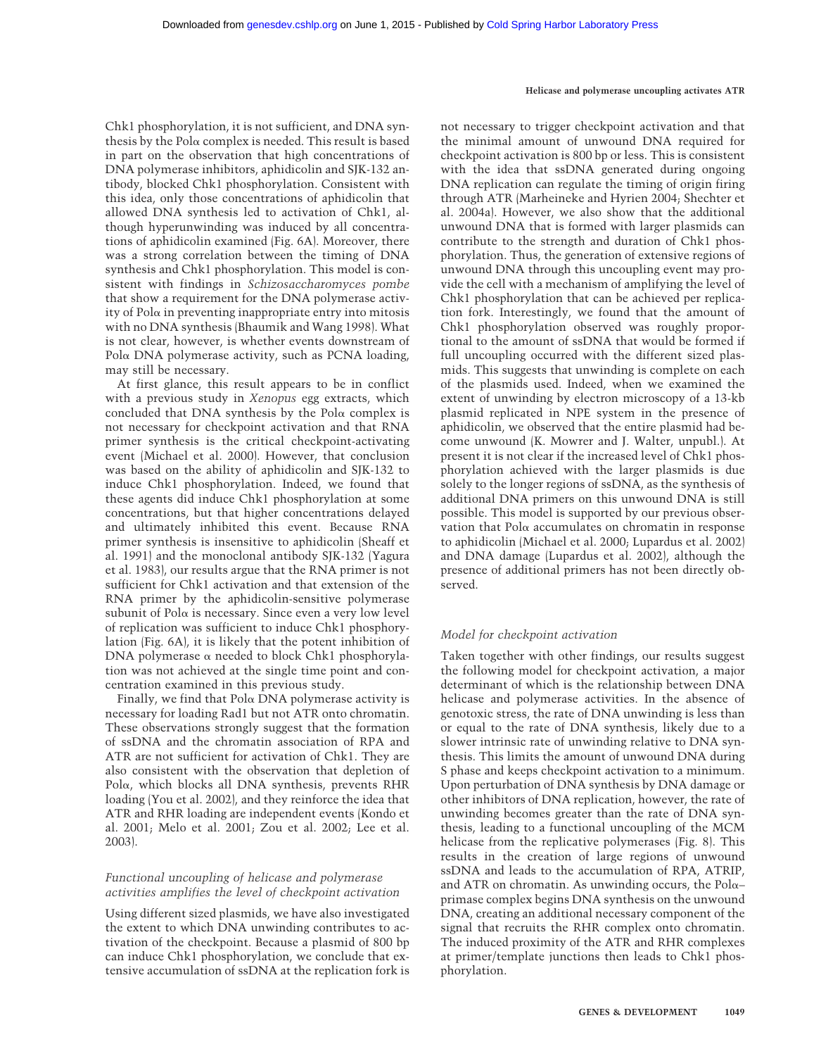Chk1 phosphorylation, it is not sufficient, and DNA synthesis by the Pol $\alpha$  complex is needed. This result is based in part on the observation that high concentrations of DNA polymerase inhibitors, aphidicolin and SJK-132 antibody, blocked Chk1 phosphorylation. Consistent with this idea, only those concentrations of aphidicolin that allowed DNA synthesis led to activation of Chk1, although hyperunwinding was induced by all concentrations of aphidicolin examined (Fig. 6A). Moreover, there was a strong correlation between the timing of DNA synthesis and Chk1 phosphorylation. This model is consistent with findings in *Schizosaccharomyces pombe* that show a requirement for the DNA polymerase activity of Pol $\alpha$  in preventing inappropriate entry into mitosis with no DNA synthesis (Bhaumik and Wang 1998). What is not clear, however, is whether events downstream of Pol $\alpha$  DNA polymerase activity, such as PCNA loading, may still be necessary.

At first glance, this result appears to be in conflict with a previous study in *Xenopus* egg extracts, which concluded that DNA synthesis by the Pol $\alpha$  complex is not necessary for checkpoint activation and that RNA primer synthesis is the critical checkpoint-activating event (Michael et al. 2000). However, that conclusion was based on the ability of aphidicolin and SJK-132 to induce Chk1 phosphorylation. Indeed, we found that these agents did induce Chk1 phosphorylation at some concentrations, but that higher concentrations delayed and ultimately inhibited this event. Because RNA primer synthesis is insensitive to aphidicolin (Sheaff et al. 1991) and the monoclonal antibody SJK-132 (Yagura et al. 1983), our results argue that the RNA primer is not sufficient for Chk1 activation and that extension of the RNA primer by the aphidicolin-sensitive polymerase subunit of Pol $\alpha$  is necessary. Since even a very low level of replication was sufficient to induce Chk1 phosphorylation (Fig. 6A), it is likely that the potent inhibition of DNA polymerase  $\alpha$  needed to block Chk1 phosphorylation was not achieved at the single time point and concentration examined in this previous study.

Finally, we find that  $Pola$  DNA polymerase activity is necessary for loading Rad1 but not ATR onto chromatin. These observations strongly suggest that the formation of ssDNA and the chromatin association of RPA and ATR are not sufficient for activation of Chk1. They are also consistent with the observation that depletion of Pol $\alpha$ , which blocks all DNA synthesis, prevents RHR loading (You et al. 2002), and they reinforce the idea that ATR and RHR loading are independent events (Kondo et al. 2001; Melo et al. 2001; Zou et al. 2002; Lee et al. 2003).

## *Functional uncoupling of helicase and polymerase activities amplifies the level of checkpoint activation*

Using different sized plasmids, we have also investigated the extent to which DNA unwinding contributes to activation of the checkpoint. Because a plasmid of 800 bp can induce Chk1 phosphorylation, we conclude that extensive accumulation of ssDNA at the replication fork is not necessary to trigger checkpoint activation and that the minimal amount of unwound DNA required for checkpoint activation is 800 bp or less. This is consistent with the idea that ssDNA generated during ongoing DNA replication can regulate the timing of origin firing through ATR (Marheineke and Hyrien 2004; Shechter et al. 2004a). However, we also show that the additional unwound DNA that is formed with larger plasmids can contribute to the strength and duration of Chk1 phosphorylation. Thus, the generation of extensive regions of unwound DNA through this uncoupling event may provide the cell with a mechanism of amplifying the level of Chk1 phosphorylation that can be achieved per replication fork. Interestingly, we found that the amount of Chk1 phosphorylation observed was roughly proportional to the amount of ssDNA that would be formed if full uncoupling occurred with the different sized plasmids. This suggests that unwinding is complete on each of the plasmids used. Indeed, when we examined the extent of unwinding by electron microscopy of a 13-kb plasmid replicated in NPE system in the presence of aphidicolin, we observed that the entire plasmid had become unwound (K. Mowrer and J. Walter, unpubl.). At present it is not clear if the increased level of Chk1 phosphorylation achieved with the larger plasmids is due solely to the longer regions of ssDNA, as the synthesis of additional DNA primers on this unwound DNA is still possible. This model is supported by our previous observation that  $Pola$  accumulates on chromatin in response to aphidicolin (Michael et al. 2000; Lupardus et al. 2002) and DNA damage (Lupardus et al. 2002), although the presence of additional primers has not been directly observed.

## *Model for checkpoint activation*

Taken together with other findings, our results suggest the following model for checkpoint activation, a major determinant of which is the relationship between DNA helicase and polymerase activities. In the absence of genotoxic stress, the rate of DNA unwinding is less than or equal to the rate of DNA synthesis, likely due to a slower intrinsic rate of unwinding relative to DNA synthesis. This limits the amount of unwound DNA during S phase and keeps checkpoint activation to a minimum. Upon perturbation of DNA synthesis by DNA damage or other inhibitors of DNA replication, however, the rate of unwinding becomes greater than the rate of DNA synthesis, leading to a functional uncoupling of the MCM helicase from the replicative polymerases (Fig. 8). This results in the creation of large regions of unwound ssDNA and leads to the accumulation of RPA, ATRIP, and ATR on chromatin. As unwinding occurs, the Pol $\alpha$ – primase complex begins DNA synthesis on the unwound DNA, creating an additional necessary component of the signal that recruits the RHR complex onto chromatin. The induced proximity of the ATR and RHR complexes at primer/template junctions then leads to Chk1 phosphorylation.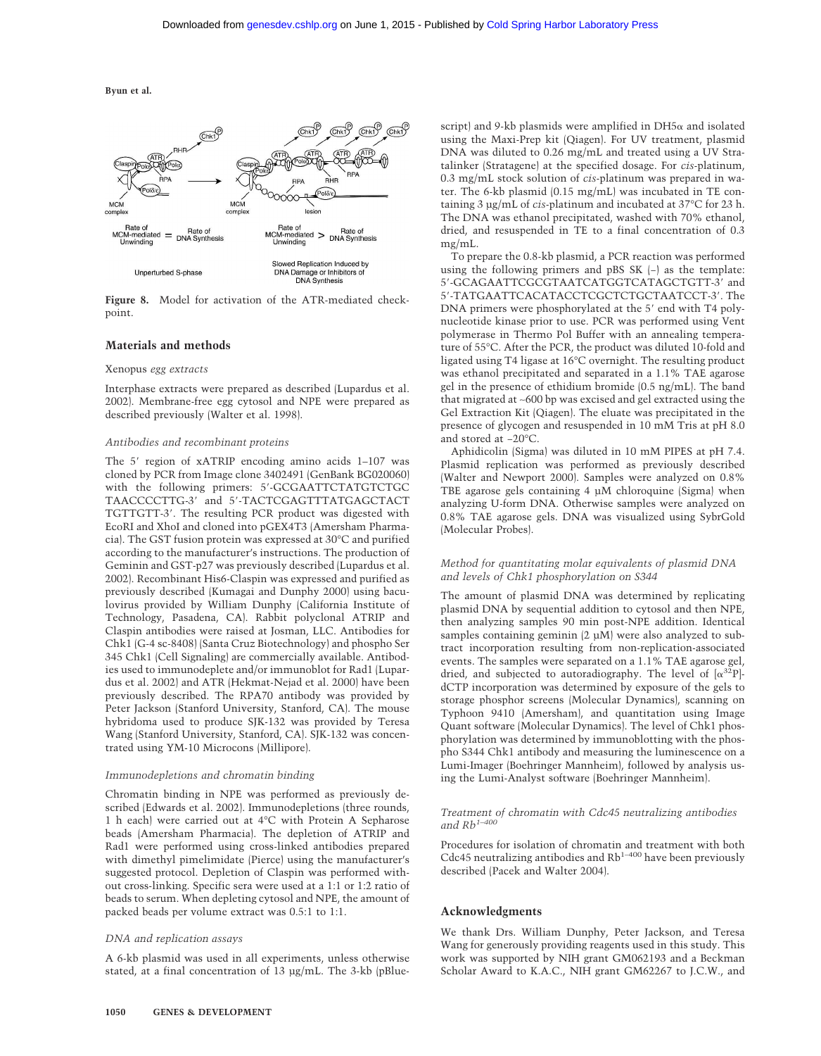

**Figure 8.** Model for activation of the ATR-mediated checkpoint.

#### **Materials and methods**

#### Xenopus *egg extracts*

Interphase extracts were prepared as described (Lupardus et al. 2002). Membrane-free egg cytosol and NPE were prepared as described previously (Walter et al. 1998).

#### *Antibodies and recombinant proteins*

The 5' region of xATRIP encoding amino acids 1-107 was cloned by PCR from Image clone 3402491 (GenBank BG020060) with the following primers: 5'-GCGAATTCTATGTCTGC TAACCCCTTG-3' and 5'-TACTCGAGTTTATGAGCTACT TGTTGTT-3. The resulting PCR product was digested with EcoRI and XhoI and cloned into pGEX4T3 (Amersham Pharmacia). The GST fusion protein was expressed at 30°C and purified according to the manufacturer's instructions. The production of Geminin and GST-p27 was previously described (Lupardus et al. 2002). Recombinant His6-Claspin was expressed and purified as previously described (Kumagai and Dunphy 2000) using baculovirus provided by William Dunphy (California Institute of Technology, Pasadena, CA). Rabbit polyclonal ATRIP and Claspin antibodies were raised at Josman, LLC. Antibodies for Chk1 (G-4 sc-8408) (Santa Cruz Biotechnology) and phospho Ser 345 Chk1 (Cell Signaling) are commercially available. Antibodies used to immunodeplete and/or immunoblot for Rad1 (Lupardus et al. 2002) and ATR (Hekmat-Nejad et al. 2000) have been previously described. The RPA70 antibody was provided by Peter Jackson (Stanford University, Stanford, CA). The mouse hybridoma used to produce SJK-132 was provided by Teresa Wang (Stanford University, Stanford, CA). SJK-132 was concentrated using YM-10 Microcons (Millipore).

#### *Immunodepletions and chromatin binding*

Chromatin binding in NPE was performed as previously described (Edwards et al. 2002). Immunodepletions (three rounds, 1 h each) were carried out at 4°C with Protein A Sepharose beads (Amersham Pharmacia). The depletion of ATRIP and Rad1 were performed using cross-linked antibodies prepared with dimethyl pimelimidate (Pierce) using the manufacturer's suggested protocol. Depletion of Claspin was performed without cross-linking. Specific sera were used at a 1:1 or 1:2 ratio of beads to serum. When depleting cytosol and NPE, the amount of packed beads per volume extract was 0.5:1 to 1:1.

#### *DNA and replication assays*

A 6-kb plasmid was used in all experiments, unless otherwise stated, at a final concentration of 13 µg/mL. The 3-kb (pBluescript) and 9-kb plasmids were amplified in  $DH5\alpha$  and isolated using the Maxi-Prep kit (Qiagen). For UV treatment, plasmid DNA was diluted to 0.26 mg/mL and treated using a UV Stratalinker (Stratagene) at the specified dosage. For *cis*-platinum, 0.3 mg/mL stock solution of *cis*-platinum was prepared in water. The 6-kb plasmid (0.15 mg/mL) was incubated in TE containing 3 µg/mL of *cis*-platinum and incubated at 37°C for 23 h. The DNA was ethanol precipitated, washed with 70% ethanol, dried, and resuspended in TE to a final concentration of 0.3 mg/mL.

To prepare the 0.8-kb plasmid, a PCR reaction was performed using the following primers and pBS SK (−) as the template: 5-GCAGAATTCGCGTAATCATGGTCATAGCTGTT-3 and 5-TATGAATTCACATACCTCGCTCTGCTAATCCT-3. The DNA primers were phosphorylated at the 5' end with T4 polynucleotide kinase prior to use. PCR was performed using Vent polymerase in Thermo Pol Buffer with an annealing temperature of 55°C. After the PCR, the product was diluted 10-fold and ligated using T4 ligase at 16°C overnight. The resulting product was ethanol precipitated and separated in a 1.1% TAE agarose gel in the presence of ethidium bromide (0.5 ng/mL). The band that migrated at ∼600 bp was excised and gel extracted using the Gel Extraction Kit (Qiagen). The eluate was precipitated in the presence of glycogen and resuspended in 10 mM Tris at pH 8.0 and stored at −20°C.

Aphidicolin (Sigma) was diluted in 10 mM PIPES at pH 7.4. Plasmid replication was performed as previously described (Walter and Newport 2000). Samples were analyzed on 0.8% TBE agarose gels containing 4 µM chloroquine (Sigma) when analyzing U-form DNA. Otherwise samples were analyzed on 0.8% TAE agarose gels. DNA was visualized using SybrGold (Molecular Probes).

#### *Method for quantitating molar equivalents of plasmid DNA and levels of Chk1 phosphorylation on S344*

The amount of plasmid DNA was determined by replicating plasmid DNA by sequential addition to cytosol and then NPE, then analyzing samples 90 min post-NPE addition. Identical samples containing geminin (2 µM) were also analyzed to subtract incorporation resulting from non-replication-associated events. The samples were separated on a 1.1% TAE agarose gel, dried, and subjected to autoradiography. The level of  $\left[\alpha^{32}P\right]$ dCTP incorporation was determined by exposure of the gels to storage phosphor screens (Molecular Dynamics), scanning on Typhoon 9410 (Amersham), and quantitation using Image Quant software (Molecular Dynamics). The level of Chk1 phosphorylation was determined by immunoblotting with the phospho S344 Chk1 antibody and measuring the luminescence on a Lumi-Imager (Boehringer Mannheim), followed by analysis using the Lumi-Analyst software (Boehringer Mannheim).

#### *Treatment of chromatin with Cdc45 neutralizing antibodies and Rb1–400*

Procedures for isolation of chromatin and treatment with both Cdc45 neutralizing antibodies and Rb<sup>1-400</sup> have been previously described (Pacek and Walter 2004).

#### **Acknowledgments**

We thank Drs. William Dunphy, Peter Jackson, and Teresa Wang for generously providing reagents used in this study. This work was supported by NIH grant GM062193 and a Beckman Scholar Award to K.A.C., NIH grant GM62267 to J.C.W., and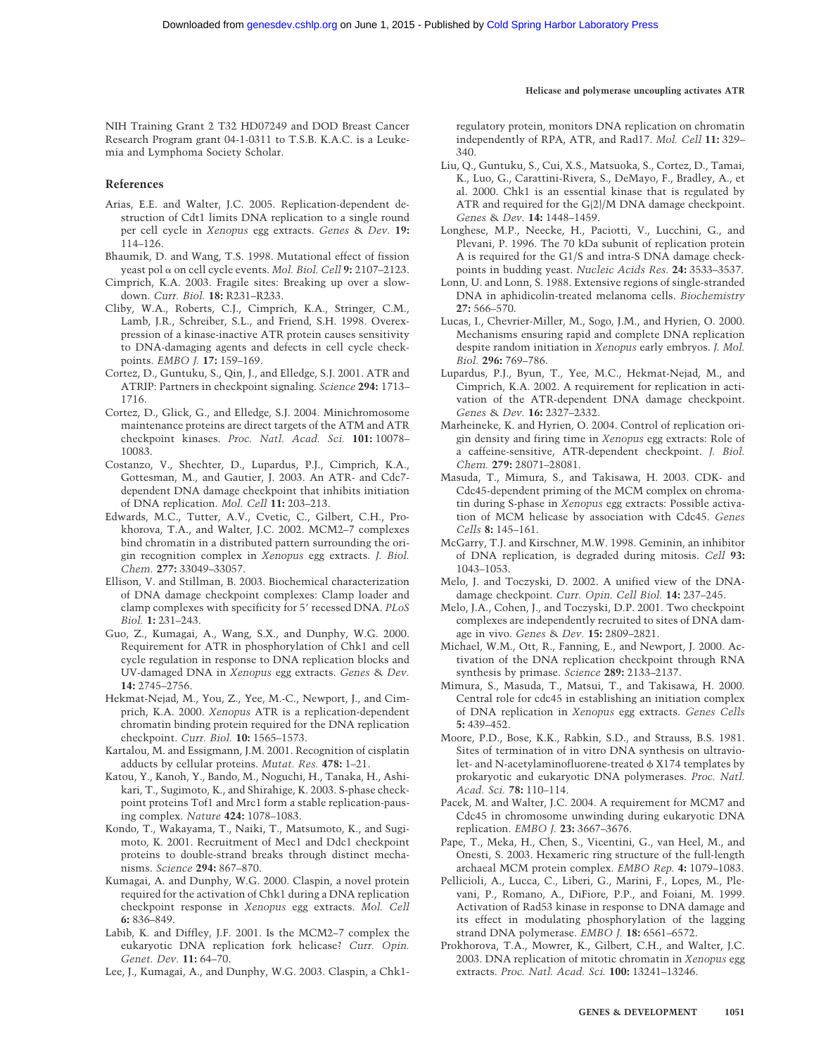NIH Training Grant 2 T32 HD07249 and DOD Breast Cancer Research Program grant 04-1-0311 to T.S.B. K.A.C. is a Leukemia and Lymphoma Society Scholar.

## **References**

- Arias, E.E. and Walter, J.C. 2005. Replication-dependent destruction of Cdt1 limits DNA replication to a single round per cell cycle in *Xenopus* egg extracts. *Genes* & *Dev.* **19:** 114–126.
- Bhaumik, D. and Wang, T.S. 1998. Mutational effect of fission yeast pol on cell cycle events. *Mol. Biol. Cell* **9:** 2107–2123.
- Cimprich, K.A. 2003. Fragile sites: Breaking up over a slowdown. *Curr. Biol.* **18:** R231–R233.
- Cliby, W.A., Roberts, C.J., Cimprich, K.A., Stringer, C.M., Lamb, J.R., Schreiber, S.L., and Friend, S.H. 1998. Overexpression of a kinase-inactive ATR protein causes sensitivity to DNA-damaging agents and defects in cell cycle checkpoints. *EMBO J.* **17:** 159–169.
- Cortez, D., Guntuku, S., Qin, J., and Elledge, S.J. 2001. ATR and ATRIP: Partners in checkpoint signaling. *Science* **294:** 1713– 1716.
- Cortez, D., Glick, G., and Elledge, S.J. 2004. Minichromosome maintenance proteins are direct targets of the ATM and ATR checkpoint kinases. *Proc. Natl. Acad. Sci.* **101:** 10078– 10083.
- Costanzo, V., Shechter, D., Lupardus, P.J., Cimprich, K.A., Gottesman, M., and Gautier, J. 2003. An ATR- and Cdc7 dependent DNA damage checkpoint that inhibits initiation of DNA replication. *Mol. Cell* **11:** 203–213.
- Edwards, M.C., Tutter, A.V., Cvetic, C., Gilbert, C.H., Prokhorova, T.A., and Walter, J.C. 2002. MCM2–7 complexes bind chromatin in a distributed pattern surrounding the origin recognition complex in *Xenopus* egg extracts. *J. Biol. Chem.* **277:** 33049–33057.
- Ellison, V. and Stillman, B. 2003. Biochemical characterization of DNA damage checkpoint complexes: Clamp loader and clamp complexes with specificity for 5 recessed DNA. *PLoS Biol.* **1:** 231–243.
- Guo, Z., Kumagai, A., Wang, S.X., and Dunphy, W.G. 2000. Requirement for ATR in phosphorylation of Chk1 and cell cycle regulation in response to DNA replication blocks and UV-damaged DNA in *Xenopus* egg extracts. *Genes* & *Dev.* **14:** 2745–2756.
- Hekmat-Nejad, M., You, Z., Yee, M.-C., Newport, J., and Cimprich, K.A. 2000. *Xenopus* ATR is a replication-dependent chromatin binding protein required for the DNA replication checkpoint. *Curr. Biol.* **10:** 1565–1573.
- Kartalou, M. and Essigmann, J.M. 2001. Recognition of cisplatin adducts by cellular proteins. *Mutat. Res.* **478:** 1–21.
- Katou, Y., Kanoh, Y., Bando, M., Noguchi, H., Tanaka, H., Ashikari, T., Sugimoto, K., and Shirahige, K. 2003. S-phase checkpoint proteins Tof1 and Mrc1 form a stable replication-pausing complex. *Nature* **424:** 1078–1083.
- Kondo, T., Wakayama, T., Naiki, T., Matsumoto, K., and Sugimoto, K. 2001. Recruitment of Mec1 and Ddc1 checkpoint proteins to double-strand breaks through distinct mechanisms. *Science* **294:** 867–870.
- Kumagai, A. and Dunphy, W.G. 2000. Claspin, a novel protein required for the activation of Chk1 during a DNA replication checkpoint response in *Xenopus* egg extracts. *Mol. Cell* **6:** 836–849.
- Labib, K. and Diffley, J.F. 2001. Is the MCM2–7 complex the eukaryotic DNA replication fork helicase? *Curr. Opin. Genet. Dev.* **11:** 64–70.
- Lee, J., Kumagai, A., and Dunphy, W.G. 2003. Claspin, a Chk1-

regulatory protein, monitors DNA replication on chromatin independently of RPA, ATR, and Rad17. *Mol. Cell* **11:** 329– 340.

- Liu, Q., Guntuku, S., Cui, X.S., Matsuoka, S., Cortez, D., Tamai, K., Luo, G., Carattini-Rivera, S., DeMayo, F., Bradley, A., et al. 2000. Chk1 is an essential kinase that is regulated by ATR and required for the G(2)/M DNA damage checkpoint. *Genes* & *Dev.* **14:** 1448–1459.
- Longhese, M.P., Neecke, H., Paciotti, V., Lucchini, G., and Plevani, P. 1996. The 70 kDa subunit of replication protein A is required for the G1/S and intra-S DNA damage checkpoints in budding yeast. *Nucleic Acids Res.* **24:** 3533–3537.
- Lonn, U. and Lonn, S. 1988. Extensive regions of single-stranded DNA in aphidicolin-treated melanoma cells. *Biochemistry* **27:** 566–570.
- Lucas, I., Chevrier-Miller, M., Sogo, J.M., and Hyrien, O. 2000. Mechanisms ensuring rapid and complete DNA replication despite random initiation in *Xenopus* early embryos. *J. Mol. Biol.* **296:** 769–786.
- Lupardus, P.J., Byun, T., Yee, M.C., Hekmat-Nejad, M., and Cimprich, K.A. 2002. A requirement for replication in activation of the ATR-dependent DNA damage checkpoint. *Genes* & *Dev.* **16:** 2327–2332.
- Marheineke, K. and Hyrien, O. 2004. Control of replication origin density and firing time in *Xenopus* egg extracts: Role of a caffeine-sensitive, ATR-dependent checkpoint. *J. Biol. Chem.* **279:** 28071–28081.
- Masuda, T., Mimura, S., and Takisawa, H. 2003. CDK- and Cdc45-dependent priming of the MCM complex on chromatin during S-phase in *Xenopus* egg extracts: Possible activation of MCM helicase by association with Cdc45. *Genes Cells* **8:** 145–161.
- McGarry, T.J. and Kirschner, M.W. 1998. Geminin, an inhibitor of DNA replication, is degraded during mitosis. *Cell* **93:** 1043–1053.
- Melo, J. and Toczyski, D. 2002. A unified view of the DNAdamage checkpoint. *Curr. Opin. Cell Biol.* **14:** 237–245.
- Melo, J.A., Cohen, J., and Toczyski, D.P. 2001. Two checkpoint complexes are independently recruited to sites of DNA damage in vivo. *Genes* & *Dev.* **15:** 2809–2821.
- Michael, W.M., Ott, R., Fanning, E., and Newport, J. 2000. Activation of the DNA replication checkpoint through RNA synthesis by primase. *Science* **289:** 2133–2137.
- Mimura, S., Masuda, T., Matsui, T., and Takisawa, H. 2000. Central role for cdc45 in establishing an initiation complex of DNA replication in *Xenopus* egg extracts. *Genes Cells* **5:** 439–452.
- Moore, P.D., Bose, K.K., Rabkin, S.D., and Strauss, B.S. 1981. Sites of termination of in vitro DNA synthesis on ultraviolet- and N-acetylaminofluorene-treated  $\upphi$  X174 templates by prokaryotic and eukaryotic DNA polymerases. *Proc. Natl. Acad. Sci.* **78:** 110–114.
- Pacek, M. and Walter, J.C. 2004. A requirement for MCM7 and Cdc45 in chromosome unwinding during eukaryotic DNA replication. *EMBO J.* **23:** 3667–3676.
- Pape, T., Meka, H., Chen, S., Vicentini, G., van Heel, M., and Onesti, S. 2003. Hexameric ring structure of the full-length archaeal MCM protein complex. *EMBO Rep.* **4:** 1079–1083.
- Pellicioli, A., Lucca, C., Liberi, G., Marini, F., Lopes, M., Plevani, P., Romano, A., DiFiore, P.P., and Foiani, M. 1999. Activation of Rad53 kinase in response to DNA damage and its effect in modulating phosphorylation of the lagging strand DNA polymerase. *EMBO J.* **18:** 6561–6572.
- Prokhorova, T.A., Mowrer, K., Gilbert, C.H., and Walter, J.C. 2003. DNA replication of mitotic chromatin in *Xenopus* egg extracts. *Proc. Natl. Acad. Sci.* **100:** 13241–13246.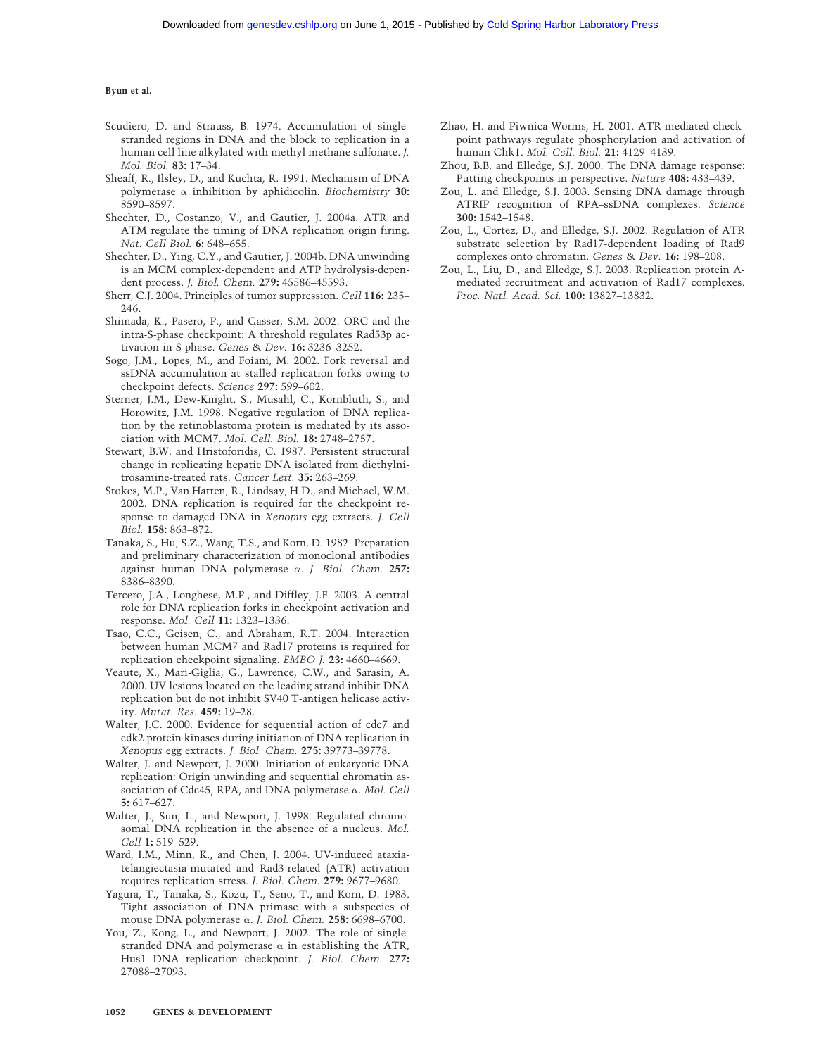- Scudiero, D. and Strauss, B. 1974. Accumulation of singlestranded regions in DNA and the block to replication in a human cell line alkylated with methyl methane sulfonate. *J. Mol. Biol.* **83:** 17–34.
- Sheaff, R., Ilsley, D., and Kuchta, R. 1991. Mechanism of DNA polymerase inhibition by aphidicolin. *Biochemistry* **30:** 8590–8597.
- Shechter, D., Costanzo, V., and Gautier, J. 2004a. ATR and ATM regulate the timing of DNA replication origin firing. *Nat. Cell Biol.* **6:** 648–655.
- Shechter, D., Ying, C.Y., and Gautier, J. 2004b. DNA unwinding is an MCM complex-dependent and ATP hydrolysis-dependent process. *J. Biol. Chem.* **279:** 45586–45593.
- Sherr, C.J. 2004. Principles of tumor suppression. *Cell* **116:** 235– 246.
- Shimada, K., Pasero, P., and Gasser, S.M. 2002. ORC and the intra-S-phase checkpoint: A threshold regulates Rad53p activation in S phase. *Genes* & *Dev.* **16:** 3236–3252.
- Sogo, J.M., Lopes, M., and Foiani, M. 2002. Fork reversal and ssDNA accumulation at stalled replication forks owing to checkpoint defects. *Science* **297:** 599–602.
- Sterner, J.M., Dew-Knight, S., Musahl, C., Kornbluth, S., and Horowitz, J.M. 1998. Negative regulation of DNA replication by the retinoblastoma protein is mediated by its association with MCM7. *Mol. Cell. Biol.* **18:** 2748–2757.
- Stewart, B.W. and Hristoforidis, C. 1987. Persistent structural change in replicating hepatic DNA isolated from diethylnitrosamine-treated rats. *Cancer Lett.* **35:** 263–269.
- Stokes, M.P., Van Hatten, R., Lindsay, H.D., and Michael, W.M. 2002. DNA replication is required for the checkpoint response to damaged DNA in *Xenopus* egg extracts. *J. Cell Biol.* **158:** 863–872.
- Tanaka, S., Hu, S.Z., Wang, T.S., and Korn, D. 1982. Preparation and preliminary characterization of monoclonal antibodies against human DNA polymerase . *J. Biol. Chem.* **257:** 8386–8390.
- Tercero, J.A., Longhese, M.P., and Diffley, J.F. 2003. A central role for DNA replication forks in checkpoint activation and response. *Mol. Cell* **11:** 1323–1336.
- Tsao, C.C., Geisen, C., and Abraham, R.T. 2004. Interaction between human MCM7 and Rad17 proteins is required for replication checkpoint signaling. *EMBO J.* **23:** 4660–4669.
- Veaute, X., Mari-Giglia, G., Lawrence, C.W., and Sarasin, A. 2000. UV lesions located on the leading strand inhibit DNA replication but do not inhibit SV40 T-antigen helicase activity. *Mutat. Res.* **459:** 19–28.
- Walter, J.C. 2000. Evidence for sequential action of cdc7 and cdk2 protein kinases during initiation of DNA replication in *Xenopus* egg extracts. *J. Biol. Chem.* **275:** 39773–39778.
- Walter, J. and Newport, J. 2000. Initiation of eukaryotic DNA replication: Origin unwinding and sequential chromatin association of Cdc45, RPA, and DNA polymerase  $\alpha$ . *Mol. Cell* **5:** 617–627.
- Walter, J., Sun, L., and Newport, J. 1998. Regulated chromosomal DNA replication in the absence of a nucleus. *Mol. Cell* **1:** 519–529.
- Ward, I.M., Minn, K., and Chen, J. 2004. UV-induced ataxiatelangiectasia-mutated and Rad3-related (ATR) activation requires replication stress. *J. Biol. Chem.* **279:** 9677–9680.
- Yagura, T., Tanaka, S., Kozu, T., Seno, T., and Korn, D. 1983. Tight association of DNA primase with a subspecies of mouse DNA polymerase α. *J. Biol. Chem.* **258:** 6698–6700.
- You, Z., Kong, L., and Newport, J. 2002. The role of singlestranded DNA and polymerase  $\alpha$  in establishing the ATR, Hus1 DNA replication checkpoint. *J. Biol. Chem.* **277:** 27088–27093.
- Zhao, H. and Piwnica-Worms, H. 2001. ATR-mediated checkpoint pathways regulate phosphorylation and activation of human Chk1. *Mol. Cell. Biol.* **21:** 4129–4139.
- Zhou, B.B. and Elledge, S.J. 2000. The DNA damage response: Putting checkpoints in perspective. *Nature* **408:** 433–439.
- Zou, L. and Elledge, S.J. 2003. Sensing DNA damage through ATRIP recognition of RPA–ssDNA complexes. *Science* **300:** 1542–1548.
- Zou, L., Cortez, D., and Elledge, S.J. 2002. Regulation of ATR substrate selection by Rad17-dependent loading of Rad9 complexes onto chromatin. *Genes* & *Dev.* **16:** 198–208.
- Zou, L., Liu, D., and Elledge, S.J. 2003. Replication protein Amediated recruitment and activation of Rad17 complexes. *Proc. Natl. Acad. Sci.* **100:** 13827–13832.